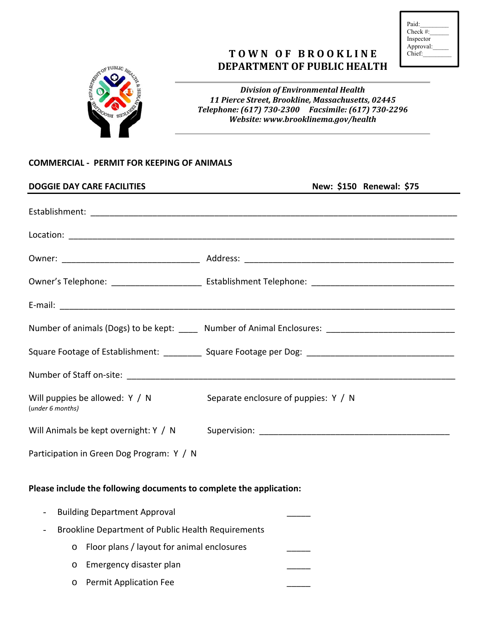| Paid:      |  |
|------------|--|
| $Check \#$ |  |
| Inspector  |  |
| Approval:  |  |
| Chief:     |  |
|            |  |

## **T O W N O F B R O O K L I N E DEPARTMENT OF PUBLIC HEALTH**



*Division of Environmental Health 11 Pierce Street, Brookline, Massachusetts, 02445 Telephone: (617) 730‐2300 Facsimile: (617) 730‐2296 Website: www.brooklinema.gov/health*

## **COMMERCIAL ‐ PERMIT FOR KEEPING OF ANIMALS**

| <b>DOGGIE DAY CARE FACILITIES</b>                                   | New: \$150 Renewal: \$75                                                                             |  |
|---------------------------------------------------------------------|------------------------------------------------------------------------------------------------------|--|
|                                                                     |                                                                                                      |  |
|                                                                     |                                                                                                      |  |
|                                                                     |                                                                                                      |  |
|                                                                     |                                                                                                      |  |
|                                                                     |                                                                                                      |  |
|                                                                     | Number of animals (Dogs) to be kept: _____ Number of Animal Enclosures: ____________________________ |  |
|                                                                     |                                                                                                      |  |
|                                                                     |                                                                                                      |  |
| Will puppies be allowed: $Y / N$<br>(under 6 months)                | Separate enclosure of puppies: Y / N                                                                 |  |
|                                                                     | Will Animals be kept overnight: Y / N Supervision: ______________________________                    |  |
| Participation in Green Dog Program: Y / N                           |                                                                                                      |  |
| Please include the following documents to complete the application: |                                                                                                      |  |
| <b>Building Department Approval</b>                                 |                                                                                                      |  |
| Brookline Department of Public Health Requirements                  |                                                                                                      |  |
| Floor plans / layout for animal enclosures<br>$\circ$               |                                                                                                      |  |
| Emergency disaster plan<br>$\circ$                                  |                                                                                                      |  |
| <b>Permit Application Fee</b><br>$\circ$                            |                                                                                                      |  |